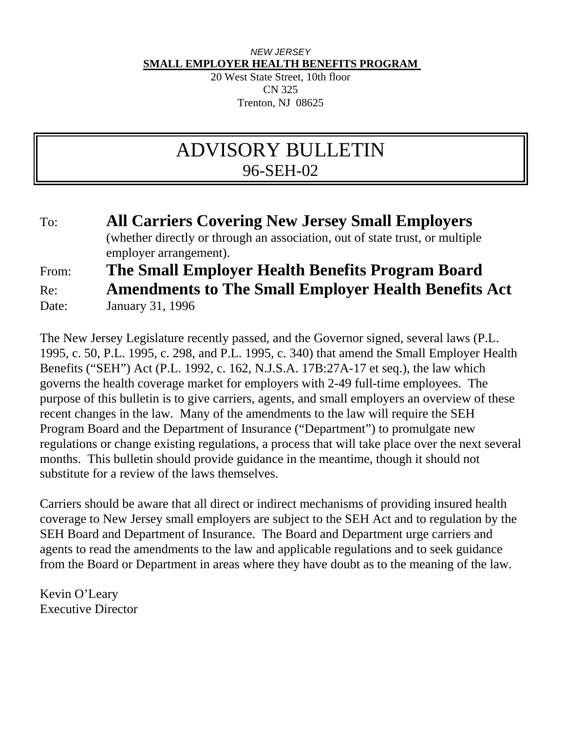## *NEW JERSEY*  **SMALL EMPLOYER HEALTH BENEFITS PROGRAM**

20 West State Street, 10th floor CN 325 Trenton, NJ 08625

# ADVISORY BULLETIN 96-SEH-02

## To: **All Carriers Covering New Jersey Small Employers** (whether directly or through an association, out of state trust, or multiple employer arrangement). From: **The Small Employer Health Benefits Program Board** Re: **Amendments to The Small Employer Health Benefits Act** Date: January 31, 1996

The New Jersey Legislature recently passed, and the Governor signed, several laws (P.L. 1995, c. 50, P.L. 1995, c. 298, and P.L. 1995, c. 340) that amend the Small Employer Health Benefits ("SEH") Act (P.L. 1992, c. 162, N.J.S.A. 17B:27A-17 et seq.), the law which governs the health coverage market for employers with 2-49 full-time employees. The purpose of this bulletin is to give carriers, agents, and small employers an overview of these recent changes in the law. Many of the amendments to the law will require the SEH Program Board and the Department of Insurance ("Department") to promulgate new regulations or change existing regulations, a process that will take place over the next several months. This bulletin should provide guidance in the meantime, though it should not substitute for a review of the laws themselves.

Carriers should be aware that all direct or indirect mechanisms of providing insured health coverage to New Jersey small employers are subject to the SEH Act and to regulation by the SEH Board and Department of Insurance. The Board and Department urge carriers and agents to read the amendments to the law and applicable regulations and to seek guidance from the Board or Department in areas where they have doubt as to the meaning of the law.

Kevin O'Leary Executive Director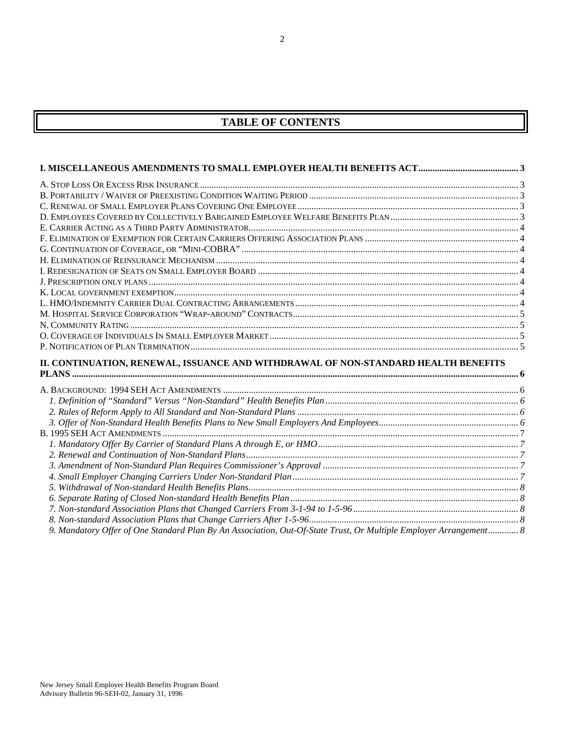## **TABLE OF CONTENTS**

| II. CONTINUATION, RENEWAL, ISSUANCE AND WITHDRAWAL OF NON-STANDARD HEALTH BENEFITS                                |  |
|-------------------------------------------------------------------------------------------------------------------|--|
|                                                                                                                   |  |
|                                                                                                                   |  |
|                                                                                                                   |  |
|                                                                                                                   |  |
|                                                                                                                   |  |
|                                                                                                                   |  |
|                                                                                                                   |  |
|                                                                                                                   |  |
|                                                                                                                   |  |
|                                                                                                                   |  |
|                                                                                                                   |  |
|                                                                                                                   |  |
|                                                                                                                   |  |
|                                                                                                                   |  |
| 9. Mandatory Offer of One Standard Plan By An Association, Out-Of-State Trust, Or Multiple Employer Arrangement 8 |  |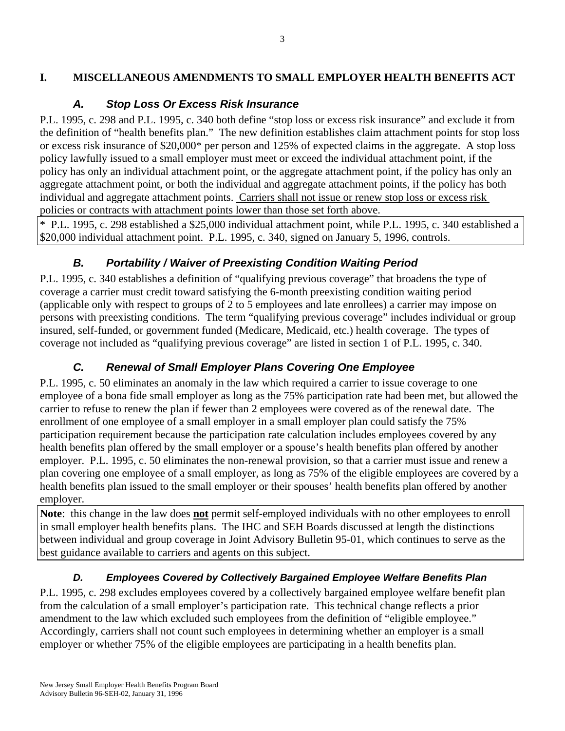#### **I. MISCELLANEOUS AMENDMENTS TO SMALL EMPLOYER HEALTH BENEFITS ACT**

## *A. Stop Loss Or Excess Risk Insurance*

P.L. 1995, c. 298 and P.L. 1995, c. 340 both define "stop loss or excess risk insurance" and exclude it from the definition of "health benefits plan." The new definition establishes claim attachment points for stop loss or excess risk insurance of \$20,000\* per person and 125% of expected claims in the aggregate. A stop loss policy lawfully issued to a small employer must meet or exceed the individual attachment point, if the policy has only an individual attachment point, or the aggregate attachment point, if the policy has only an aggregate attachment point, or both the individual and aggregate attachment points, if the policy has both individual and aggregate attachment points. Carriers shall not issue or renew stop loss or excess risk policies or contracts with attachment points lower than those set forth above.

\* P.L. 1995, c. 298 established a \$25,000 individual attachment point, while P.L. 1995, c. 340 established a \$20,000 individual attachment point. P.L. 1995, c. 340, signed on January 5, 1996, controls.

## *B. Portability / Waiver of Preexisting Condition Waiting Period*

P.L. 1995, c. 340 establishes a definition of "qualifying previous coverage" that broadens the type of coverage a carrier must credit toward satisfying the 6-month preexisting condition waiting period (applicable only with respect to groups of 2 to 5 employees and late enrollees) a carrier may impose on persons with preexisting conditions. The term "qualifying previous coverage" includes individual or group insured, self-funded, or government funded (Medicare, Medicaid, etc.) health coverage. The types of coverage not included as "qualifying previous coverage" are listed in section 1 of P.L. 1995, c. 340.

## *C. Renewal of Small Employer Plans Covering One Employee*

P.L. 1995, c. 50 eliminates an anomaly in the law which required a carrier to issue coverage to one employee of a bona fide small employer as long as the 75% participation rate had been met, but allowed the carrier to refuse to renew the plan if fewer than 2 employees were covered as of the renewal date. The enrollment of one employee of a small employer in a small employer plan could satisfy the 75% participation requirement because the participation rate calculation includes employees covered by any health benefits plan offered by the small employer or a spouse's health benefits plan offered by another employer. P.L. 1995, c. 50 eliminates the non-renewal provision, so that a carrier must issue and renew a plan covering one employee of a small employer, as long as 75% of the eligible employees are covered by a health benefits plan issued to the small employer or their spouses' health benefits plan offered by another employer.

**Note**: this change in the law does **not** permit self-employed individuals with no other employees to enroll in small employer health benefits plans. The IHC and SEH Boards discussed at length the distinctions between individual and group coverage in Joint Advisory Bulletin 95-01, which continues to serve as the best guidance available to carriers and agents on this subject.

## *D. Employees Covered by Collectively Bargained Employee Welfare Benefits Plan*

P.L. 1995, c. 298 excludes employees covered by a collectively bargained employee welfare benefit plan from the calculation of a small employer's participation rate. This technical change reflects a prior amendment to the law which excluded such employees from the definition of "eligible employee." Accordingly, carriers shall not count such employees in determining whether an employer is a small employer or whether 75% of the eligible employees are participating in a health benefits plan.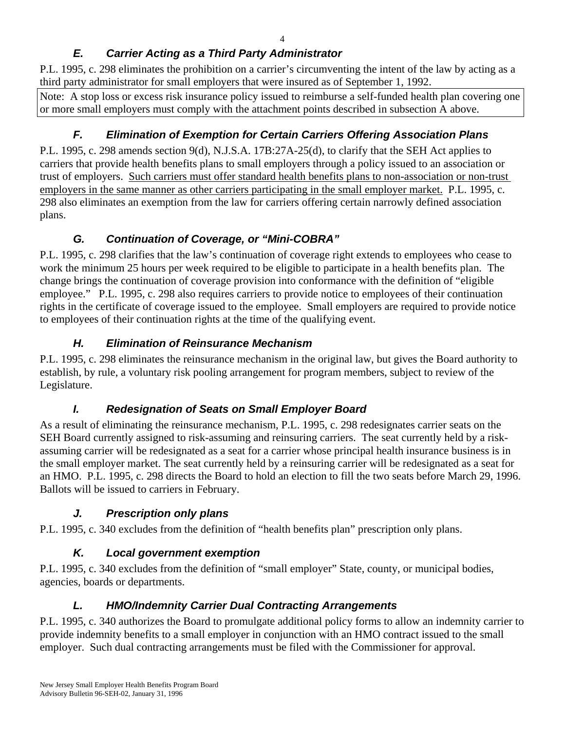## *E. Carrier Acting as a Third Party Administrator*

P.L. 1995, c. 298 eliminates the prohibition on a carrier's circumventing the intent of the law by acting as a third party administrator for small employers that were insured as of September 1, 1992.

Note: A stop loss or excess risk insurance policy issued to reimburse a self-funded health plan covering one or more small employers must comply with the attachment points described in subsection A above.

## *F. Elimination of Exemption for Certain Carriers Offering Association Plans*

P.L. 1995, c. 298 amends section 9(d), N.J.S.A. 17B:27A-25(d), to clarify that the SEH Act applies to carriers that provide health benefits plans to small employers through a policy issued to an association or trust of employers. Such carriers must offer standard health benefits plans to non-association or non-trust employers in the same manner as other carriers participating in the small employer market. P.L. 1995, c. 298 also eliminates an exemption from the law for carriers offering certain narrowly defined association plans.

## *G. Continuation of Coverage, or "Mini-COBRA"*

P.L. 1995, c. 298 clarifies that the law's continuation of coverage right extends to employees who cease to work the minimum 25 hours per week required to be eligible to participate in a health benefits plan. The change brings the continuation of coverage provision into conformance with the definition of "eligible employee." P.L. 1995, c. 298 also requires carriers to provide notice to employees of their continuation rights in the certificate of coverage issued to the employee. Small employers are required to provide notice to employees of their continuation rights at the time of the qualifying event.

## *H. Elimination of Reinsurance Mechanism*

P.L. 1995, c. 298 eliminates the reinsurance mechanism in the original law, but gives the Board authority to establish, by rule, a voluntary risk pooling arrangement for program members, subject to review of the Legislature.

## *I. Redesignation of Seats on Small Employer Board*

As a result of eliminating the reinsurance mechanism, P.L. 1995, c. 298 redesignates carrier seats on the SEH Board currently assigned to risk-assuming and reinsuring carriers. The seat currently held by a riskassuming carrier will be redesignated as a seat for a carrier whose principal health insurance business is in the small employer market. The seat currently held by a reinsuring carrier will be redesignated as a seat for an HMO. P.L. 1995, c. 298 directs the Board to hold an election to fill the two seats before March 29, 1996. Ballots will be issued to carriers in February.

## *J. Prescription only plans*

P.L. 1995, c. 340 excludes from the definition of "health benefits plan" prescription only plans.

## *K. Local government exemption*

P.L. 1995, c. 340 excludes from the definition of "small employer" State, county, or municipal bodies, agencies, boards or departments.

## *L. HMO/Indemnity Carrier Dual Contracting Arrangements*

P.L. 1995, c. 340 authorizes the Board to promulgate additional policy forms to allow an indemnity carrier to provide indemnity benefits to a small employer in conjunction with an HMO contract issued to the small employer. Such dual contracting arrangements must be filed with the Commissioner for approval.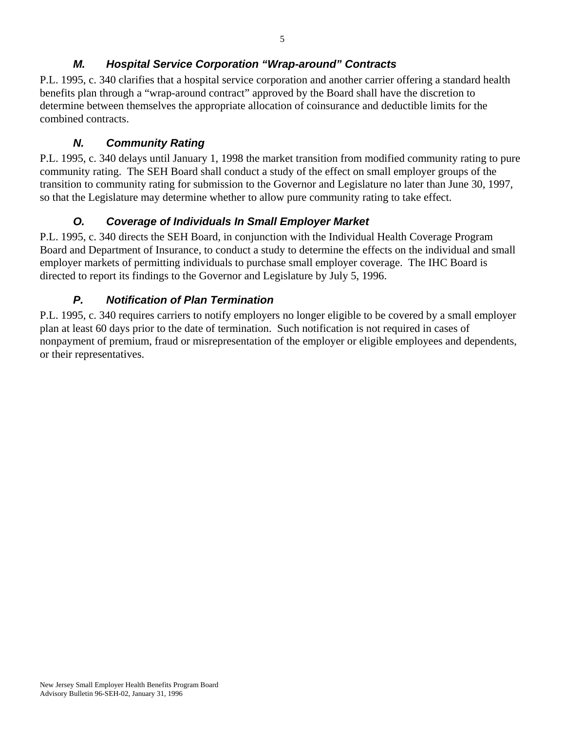## *M. Hospital Service Corporation "Wrap-around" Contracts*

P.L. 1995, c. 340 clarifies that a hospital service corporation and another carrier offering a standard health benefits plan through a "wrap-around contract" approved by the Board shall have the discretion to determine between themselves the appropriate allocation of coinsurance and deductible limits for the combined contracts.

#### *N. Community Rating*

P.L. 1995, c. 340 delays until January 1, 1998 the market transition from modified community rating to pure community rating. The SEH Board shall conduct a study of the effect on small employer groups of the transition to community rating for submission to the Governor and Legislature no later than June 30, 1997, so that the Legislature may determine whether to allow pure community rating to take effect.

## *O. Coverage of Individuals In Small Employer Market*

P.L. 1995, c. 340 directs the SEH Board, in conjunction with the Individual Health Coverage Program Board and Department of Insurance, to conduct a study to determine the effects on the individual and small employer markets of permitting individuals to purchase small employer coverage. The IHC Board is directed to report its findings to the Governor and Legislature by July 5, 1996.

## *P. Notification of Plan Termination*

P.L. 1995, c. 340 requires carriers to notify employers no longer eligible to be covered by a small employer plan at least 60 days prior to the date of termination. Such notification is not required in cases of nonpayment of premium, fraud or misrepresentation of the employer or eligible employees and dependents, or their representatives.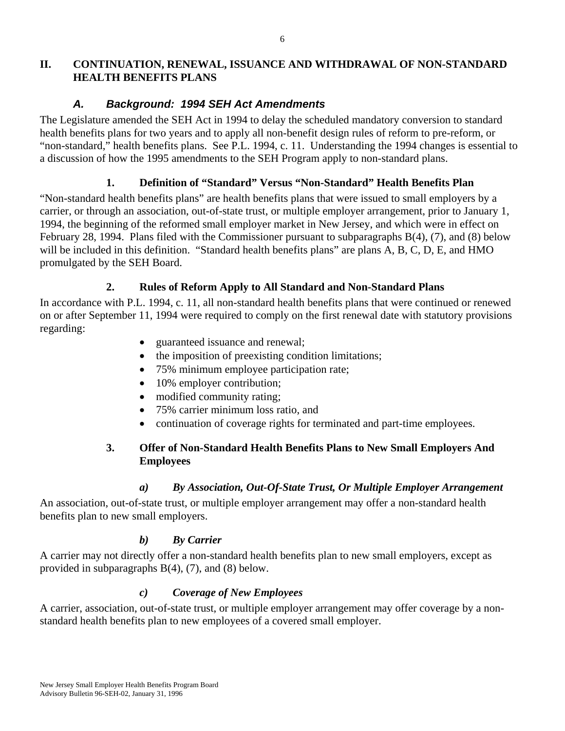#### **II. CONTINUATION, RENEWAL, ISSUANCE AND WITHDRAWAL OF NON-STANDARD HEALTH BENEFITS PLANS**

## *A. Background: 1994 SEH Act Amendments*

The Legislature amended the SEH Act in 1994 to delay the scheduled mandatory conversion to standard health benefits plans for two years and to apply all non-benefit design rules of reform to pre-reform, or "non-standard," health benefits plans. See P.L. 1994, c. 11. Understanding the 1994 changes is essential to a discussion of how the 1995 amendments to the SEH Program apply to non-standard plans.

## **1. Definition of "Standard" Versus "Non-Standard" Health Benefits Plan**

"Non-standard health benefits plans" are health benefits plans that were issued to small employers by a carrier, or through an association, out-of-state trust, or multiple employer arrangement, prior to January 1, 1994, the beginning of the reformed small employer market in New Jersey, and which were in effect on February 28, 1994. Plans filed with the Commissioner pursuant to subparagraphs B(4), (7), and (8) below will be included in this definition. "Standard health benefits plans" are plans A, B, C, D, E, and HMO promulgated by the SEH Board.

## **2. Rules of Reform Apply to All Standard and Non-Standard Plans**

In accordance with P.L. 1994, c. 11, all non-standard health benefits plans that were continued or renewed on or after September 11, 1994 were required to comply on the first renewal date with statutory provisions regarding:

- guaranteed issuance and renewal;
- the imposition of preexisting condition limitations;
- 75% minimum employee participation rate;
- 10% employer contribution;
- modified community rating;
- 75% carrier minimum loss ratio, and
- continuation of coverage rights for terminated and part-time employees.

## **3. Offer of Non-Standard Health Benefits Plans to New Small Employers And Employees**

## *a) By Association, Out-Of-State Trust, Or Multiple Employer Arrangement*

An association, out-of-state trust, or multiple employer arrangement may offer a non-standard health benefits plan to new small employers.

## *b) By Carrier*

A carrier may not directly offer a non-standard health benefits plan to new small employers, except as provided in subparagraphs B(4), (7), and (8) below.

## *c) Coverage of New Employees*

A carrier, association, out-of-state trust, or multiple employer arrangement may offer coverage by a nonstandard health benefits plan to new employees of a covered small employer.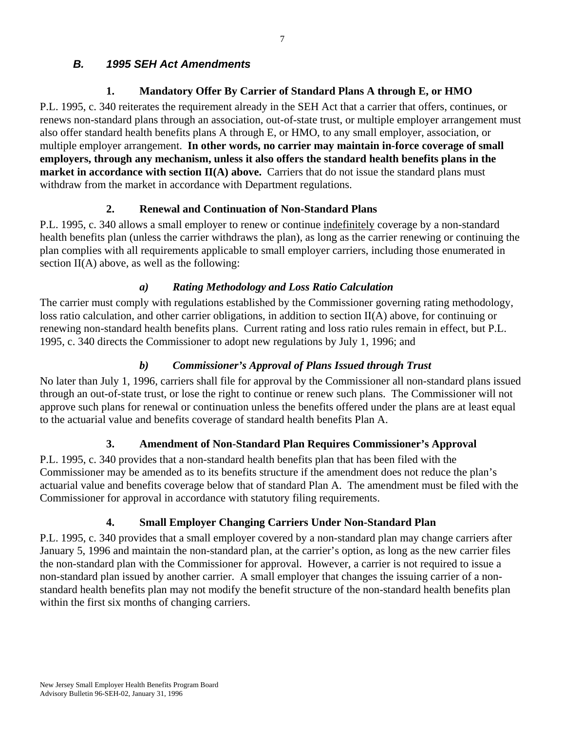## *B. 1995 SEH Act Amendments*

## **1. Mandatory Offer By Carrier of Standard Plans A through E, or HMO**

P.L. 1995, c. 340 reiterates the requirement already in the SEH Act that a carrier that offers, continues, or renews non-standard plans through an association, out-of-state trust, or multiple employer arrangement must also offer standard health benefits plans A through E, or HMO, to any small employer, association, or multiple employer arrangement. **In other words, no carrier may maintain in-force coverage of small employers, through any mechanism, unless it also offers the standard health benefits plans in the market in accordance with section II(A) above.** Carriers that do not issue the standard plans must withdraw from the market in accordance with Department regulations.

## **2. Renewal and Continuation of Non-Standard Plans**

P.L. 1995, c. 340 allows a small employer to renew or continue indefinitely coverage by a non-standard health benefits plan (unless the carrier withdraws the plan), as long as the carrier renewing or continuing the plan complies with all requirements applicable to small employer carriers, including those enumerated in section  $II(A)$  above, as well as the following:

#### *a) Rating Methodology and Loss Ratio Calculation*

The carrier must comply with regulations established by the Commissioner governing rating methodology, loss ratio calculation, and other carrier obligations, in addition to section II(A) above, for continuing or renewing non-standard health benefits plans. Current rating and loss ratio rules remain in effect, but P.L. 1995, c. 340 directs the Commissioner to adopt new regulations by July 1, 1996; and

#### *b) Commissioner's Approval of Plans Issued through Trust*

No later than July 1, 1996, carriers shall file for approval by the Commissioner all non-standard plans issued through an out-of-state trust, or lose the right to continue or renew such plans. The Commissioner will not approve such plans for renewal or continuation unless the benefits offered under the plans are at least equal to the actuarial value and benefits coverage of standard health benefits Plan A.

## **3. Amendment of Non-Standard Plan Requires Commissioner's Approval**

P.L. 1995, c. 340 provides that a non-standard health benefits plan that has been filed with the Commissioner may be amended as to its benefits structure if the amendment does not reduce the plan's actuarial value and benefits coverage below that of standard Plan A. The amendment must be filed with the Commissioner for approval in accordance with statutory filing requirements.

## **4. Small Employer Changing Carriers Under Non-Standard Plan**

P.L. 1995, c. 340 provides that a small employer covered by a non-standard plan may change carriers after January 5, 1996 and maintain the non-standard plan, at the carrier's option, as long as the new carrier files the non-standard plan with the Commissioner for approval. However, a carrier is not required to issue a non-standard plan issued by another carrier. A small employer that changes the issuing carrier of a nonstandard health benefits plan may not modify the benefit structure of the non-standard health benefits plan within the first six months of changing carriers.